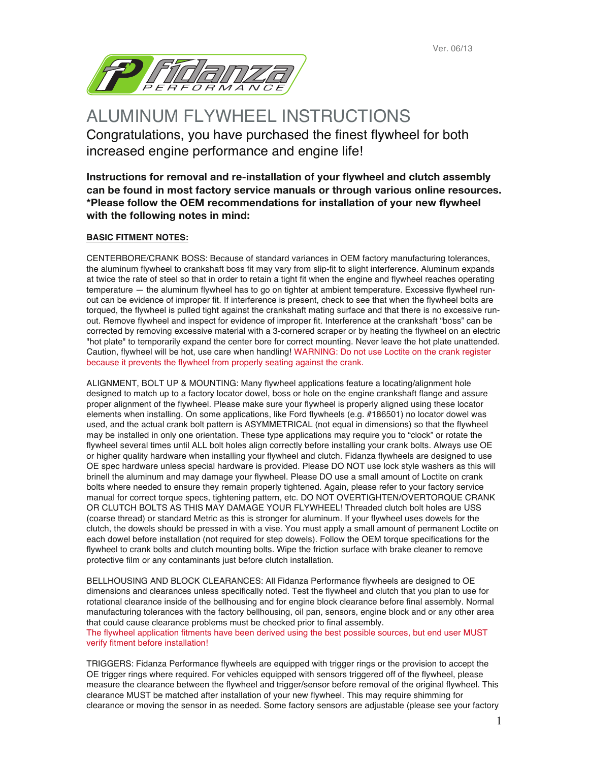Ver. 06/13



ALUMINUM FLYWHEEL INSTRUCTIONS Congratulations, you have purchased the finest flywheel for both increased engine performance and engine life!

**Instructions for removal and re-installation of your flywheel and clutch assembly can be found in most factory service manuals or through various online resources. \*Please follow the OEM recommendations for installation of your new flywheel with the following notes in mind:**

# **BASIC FITMENT NOTES:**

CENTERBORE/CRANK BOSS: Because of standard variances in OEM factory manufacturing tolerances, the aluminum flywheel to crankshaft boss fit may vary from slip-fit to slight interference. Aluminum expands at twice the rate of steel so that in order to retain a tight fit when the engine and flywheel reaches operating temperature — the aluminum flywheel has to go on tighter at ambient temperature. Excessive flywheel runout can be evidence of improper fit. If interference is present, check to see that when the flywheel bolts are torqued, the flywheel is pulled tight against the crankshaft mating surface and that there is no excessive runout. Remove flywheel and inspect for evidence of improper fit. Interference at the crankshaft "boss" can be corrected by removing excessive material with a 3-cornered scraper or by heating the flywheel on an electric "hot plate" to temporarily expand the center bore for correct mounting. Never leave the hot plate unattended. Caution, flywheel will be hot, use care when handling! WARNING: Do not use Loctite on the crank register because it prevents the flywheel from properly seating against the crank.

ALIGNMENT, BOLT UP & MOUNTING: Many flywheel applications feature a locating/alignment hole designed to match up to a factory locator dowel, boss or hole on the engine crankshaft flange and assure proper alignment of the flywheel. Please make sure your flywheel is properly aligned using these locator elements when installing. On some applications, like Ford flywheels (e.g. #186501) no locator dowel was used, and the actual crank bolt pattern is ASYMMETRICAL (not equal in dimensions) so that the flywheel may be installed in only one orientation. These type applications may require you to "clock" or rotate the flywheel several times until ALL bolt holes align correctly before installing your crank bolts. Always use OE or higher quality hardware when installing your flywheel and clutch. Fidanza flywheels are designed to use OE spec hardware unless special hardware is provided. Please DO NOT use lock style washers as this will brinell the aluminum and may damage your flywheel. Please DO use a small amount of Loctite on crank bolts where needed to ensure they remain properly tightened. Again, please refer to your factory service manual for correct torque specs, tightening pattern, etc. DO NOT OVERTIGHTEN/OVERTORQUE CRANK OR CLUTCH BOLTS AS THIS MAY DAMAGE YOUR FLYWHEEL! Threaded clutch bolt holes are USS (coarse thread) or standard Metric as this is stronger for aluminum. If your flywheel uses dowels for the clutch, the dowels should be pressed in with a vise. You must apply a small amount of permanent Loctite on each dowel before installation (not required for step dowels). Follow the OEM torque specifications for the flywheel to crank bolts and clutch mounting bolts. Wipe the friction surface with brake cleaner to remove protective film or any contaminants just before clutch installation.

BELLHOUSING AND BLOCK CLEARANCES: All Fidanza Performance flywheels are designed to OE dimensions and clearances unless specifically noted. Test the flywheel and clutch that you plan to use for rotational clearance inside of the bellhousing and for engine block clearance before final assembly. Normal manufacturing tolerances with the factory bellhousing, oil pan, sensors, engine block and or any other area that could cause clearance problems must be checked prior to final assembly.

The flywheel application fitments have been derived using the best possible sources, but end user MUST verify fitment before installation!

TRIGGERS: Fidanza Performance flywheels are equipped with trigger rings or the provision to accept the OE trigger rings where required. For vehicles equipped with sensors triggered off of the flywheel, please measure the clearance between the flywheel and trigger/sensor before removal of the original flywheel. This clearance MUST be matched after installation of your new flywheel. This may require shimming for clearance or moving the sensor in as needed. Some factory sensors are adjustable (please see your factory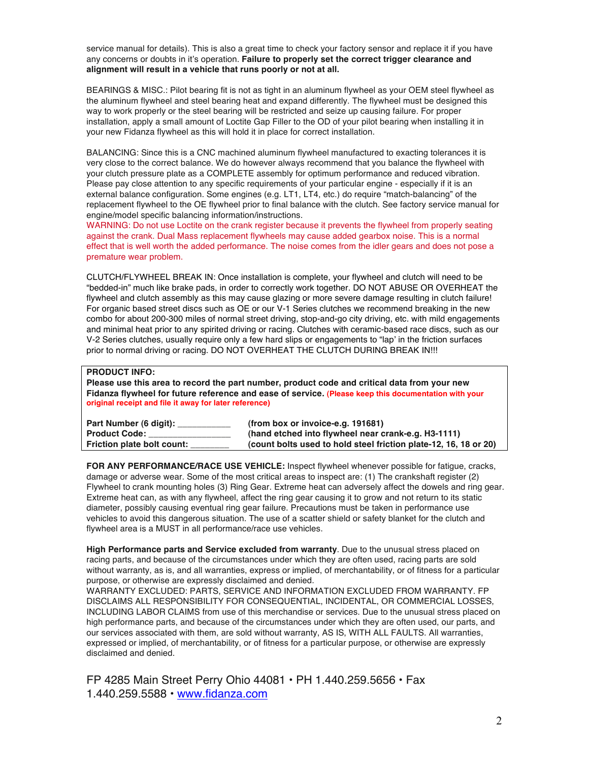service manual for details). This is also a great time to check your factory sensor and replace it if you have any concerns or doubts in it's operation. **Failure to properly set the correct trigger clearance and alignment will result in a vehicle that runs poorly or not at all.**

BEARINGS & MISC.: Pilot bearing fit is not as tight in an aluminum flywheel as your OEM steel flywheel as the aluminum flywheel and steel bearing heat and expand differently. The flywheel must be designed this way to work properly or the steel bearing will be restricted and seize up causing failure. For proper installation, apply a small amount of Loctite Gap Filler to the OD of your pilot bearing when installing it in your new Fidanza flywheel as this will hold it in place for correct installation.

BALANCING: Since this is a CNC machined aluminum flywheel manufactured to exacting tolerances it is very close to the correct balance. We do however always recommend that you balance the flywheel with your clutch pressure plate as a COMPLETE assembly for optimum performance and reduced vibration. Please pay close attention to any specific requirements of your particular engine - especially if it is an external balance configuration. Some engines (e.g. LT1, LT4, etc.) do require "match-balancing" of the replacement flywheel to the OE flywheel prior to final balance with the clutch. See factory service manual for engine/model specific balancing information/instructions.

WARNING: Do not use Loctite on the crank register because it prevents the flywheel from properly seating against the crank. Dual Mass replacement flywheels may cause added gearbox noise. This is a normal effect that is well worth the added performance. The noise comes from the idler gears and does not pose a premature wear problem.

CLUTCH/FLYWHEEL BREAK IN: Once installation is complete, your flywheel and clutch will need to be "bedded-in" much like brake pads, in order to correctly work together. DO NOT ABUSE OR OVERHEAT the flywheel and clutch assembly as this may cause glazing or more severe damage resulting in clutch failure! For organic based street discs such as OE or our V-1 Series clutches we recommend breaking in the new combo for about 200-300 miles of normal street driving, stop-and-go city driving, etc. with mild engagements and minimal heat prior to any spirited driving or racing. Clutches with ceramic-based race discs, such as our V-2 Series clutches, usually require only a few hard slips or engagements to "lap' in the friction surfaces prior to normal driving or racing. DO NOT OVERHEAT THE CLUTCH DURING BREAK IN!!!

## **PRODUCT INFO:**

**Please use this area to record the part number, product code and critical data from your new Fidanza flywheel for future reference and ease of service. (Please keep this documentation with your original receipt and file it away for later reference)**

| Part Number (6 digit):     | (from box or invoice-e.g. 191681)                                |
|----------------------------|------------------------------------------------------------------|
| <b>Product Code:</b>       | (hand etched into flywheel near crank-e.g. H3-1111)              |
| Friction plate bolt count: | (count bolts used to hold steel friction plate-12, 16, 18 or 20) |

**FOR ANY PERFORMANCE/RACE USE VEHICLE:** Inspect flywheel whenever possible for fatigue, cracks, damage or adverse wear. Some of the most critical areas to inspect are: (1) The crankshaft register (2) Flywheel to crank mounting holes (3) Ring Gear. Extreme heat can adversely affect the dowels and ring gear. Extreme heat can, as with any flywheel, affect the ring gear causing it to grow and not return to its static diameter, possibly causing eventual ring gear failure. Precautions must be taken in performance use vehicles to avoid this dangerous situation. The use of a scatter shield or safety blanket for the clutch and flywheel area is a MUST in all performance/race use vehicles.

**High Performance parts and Service excluded from warranty**. Due to the unusual stress placed on racing parts, and because of the circumstances under which they are often used, racing parts are sold without warranty, as is, and all warranties, express or implied, of merchantability, or of fitness for a particular purpose, or otherwise are expressly disclaimed and denied.

WARRANTY EXCLUDED: PARTS, SERVICE AND INFORMATION EXCLUDED FROM WARRANTY. FP DISCLAIMS ALL RESPONSIBILITY FOR CONSEQUENTIAL, INCIDENTAL, OR COMMERCIAL LOSSES, INCLUDING LABOR CLAIMS from use of this merchandise or services. Due to the unusual stress placed on high performance parts, and because of the circumstances under which they are often used, our parts, and our services associated with them, are sold without warranty, AS IS, WITH ALL FAULTS. All warranties, expressed or implied, of merchantability, or of fitness for a particular purpose, or otherwise are expressly disclaimed and denied.

FP 4285 Main Street Perry Ohio 44081 • PH 1.440.259.5656 • Fax 1.440.259.5588 • www.fidanza.com